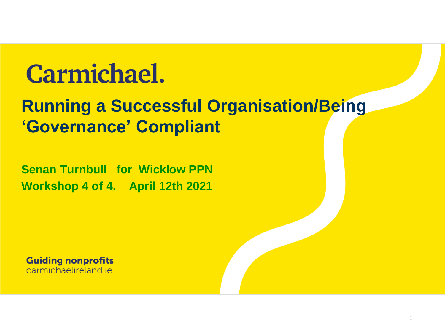### **Carmichael.**

#### **Running a Successful Organisation/Being 'Governance' Compliant**

**Senan Turnbull for Wicklow PPN Workshop 4 of 4. April 12th 2021**

**Guiding nonprofits** carmichaelireland je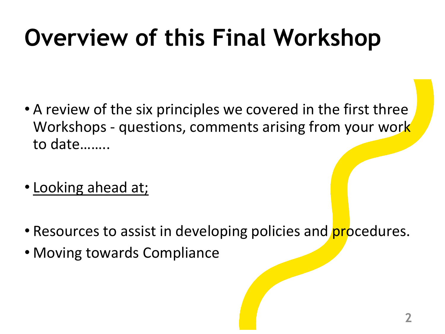# **Overview of this Final Workshop**

- A review of the six principles we covered in the first three Workshops - questions, comments arising from your work to date……..
- Looking ahead at;
- Resources to assist in developing policies and **procedures**.
- Moving towards Compliance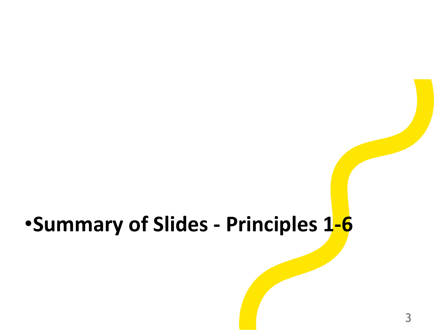### •**Summary of Slides - Principles 1-6**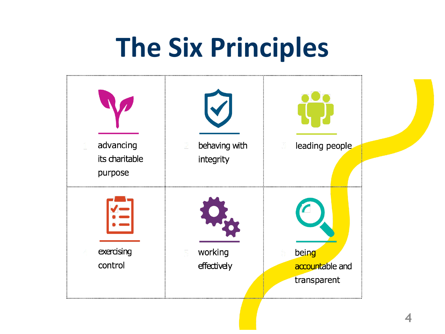# **The Six Principles**

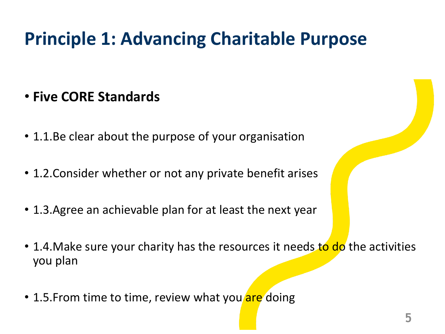#### **Principle 1: Advancing Charitable Purpose**

- **Five CORE Standards**
- 1.1.Be clear about the purpose of your organisation
- 1.2.Consider whether or not any private benefit arises
- 1.3.Agree an achievable plan for at least the next year
- 1.4. Make sure your charity has the resources it needs to do the activities you plan
- 1.5. From time to time, review what you are doing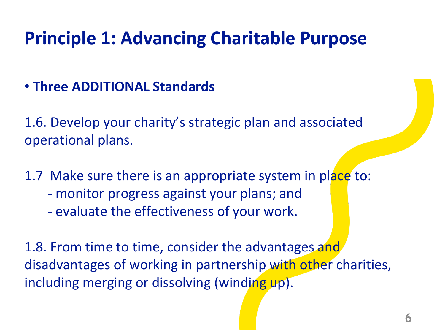#### **Principle 1: Advancing Charitable Purpose**

#### • **Three ADDITIONAL Standards**

1.6. Develop your charity's strategic plan and associated operational plans.

1.7 Make sure there is an appropriate system in place to:

- monitor progress against your plans; and
- evaluate the effectiveness of your work.

1.8. From time to time, consider the advantages and disadvantages of working in partnership with other charities, including merging or dissolving (winding up).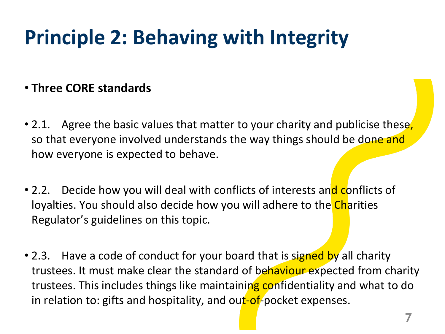### **Principle 2: Behaving with Integrity**

#### • **Three CORE standards**

- 2.1. Agree the basic values that matter to your charity and publicise these, so that everyone involved understands the way things should be done and how everyone is expected to behave.
- 2.2. Decide how you will deal with conflicts of interests and conflicts of loyalties. You should also decide how you will adhere to the Charities Regulator's guidelines on this topic.
- 2.3. Have a code of conduct for your board that is signed by all charity trustees. It must make clear the standard of behaviour expected from charity trustees. This includes things like maintaining confidentiality and what to do in relation to: gifts and hospitality, and out-of-pocket expenses.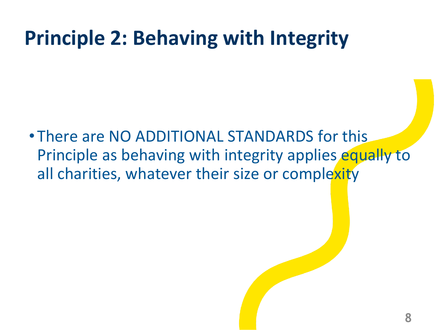### **Principle 2: Behaving with Integrity**

• There are NO ADDITIONAL STANDARDS for this Principle as behaving with integrity applies equally to all charities, whatever their size or complexity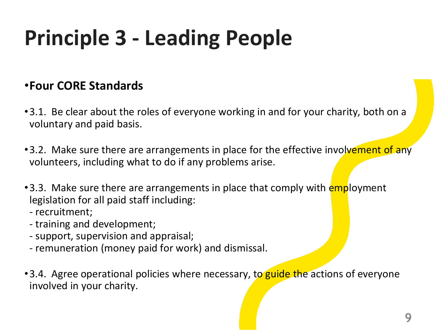## **Principle 3 - Leading People**

#### •**Four CORE Standards**

- •3.1. Be clear about the roles of everyone working in and for your charity, both on a voluntary and paid basis.
- •3.2. Make sure there are arrangements in place for the effective involvement of any volunteers, including what to do if any problems arise.
- •3.3. Make sure there are arrangements in place that comply with employment legislation for all paid staff including:
	- recruitment;
	- training and development;
	- support, supervision and appraisal;
	- remuneration (money paid for work) and dismissal.
- •3.4. Agree operational policies where necessary, to guide the actions of everyone involved in your charity.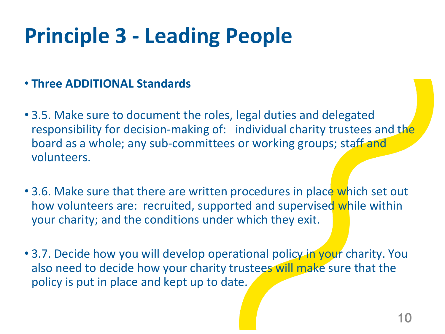### **Principle 3 - Leading People**

#### • **Three ADDITIONAL Standards**

- 3.5. Make sure to document the roles, legal duties and delegated responsibility for decision-making of: individual charity trustees and the board as a whole; any sub-committees or working groups; staff and volunteers.
- 3.6. Make sure that there are written procedures in place which set out how volunteers are: recruited, supported and supervised while within your charity; and the conditions under which they exit.
- 3.7. Decide how you will develop operational policy in your charity. You also need to decide how your charity trustees will make sure that the policy is put in place and kept up to date.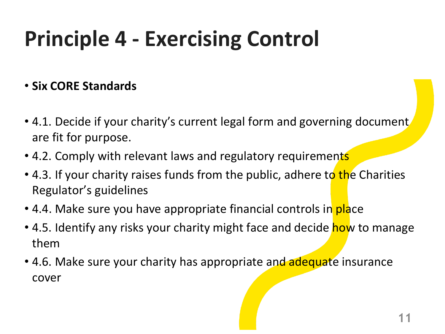## **Principle 4 - Exercising Control**

#### • **Six CORE Standards**

- 4.1. Decide if your charity's current legal form and governing document. are fit for purpose.
- 4.2. Comply with relevant laws and regulatory requirements
- 4.3. If your charity raises funds from the public, adhere to the Charities Regulator's guidelines
- 4.4. Make sure you have appropriate financial controls in place
- 4.5. Identify any risks your charity might face and decide how to manage them
- 4.6. Make sure your charity has appropriate and adequate insurance cover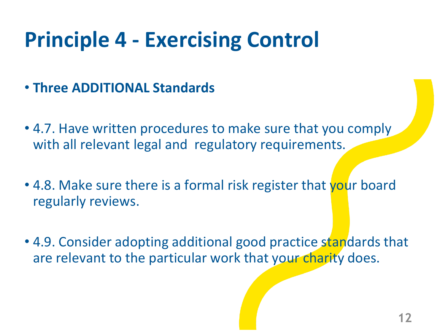### **Principle 4 - Exercising Control**

- **Three ADDITIONAL Standards**
- 4.7. Have written procedures to make sure that you comply with all relevant legal and regulatory requirements.
- 4.8. Make sure there is a formal risk register that your board regularly reviews.
- 4.9. Consider adopting additional good practice standards that are relevant to the particular work that your charity does.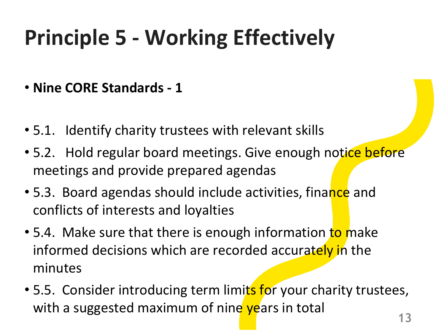#### • **Nine CORE Standards - 1**

- 5.1. Identify charity trustees with relevant skills
- 5.2. Hold regular board meetings. Give enough notice before meetings and provide prepared agendas
- 5.3. Board agendas should include activities, finance and conflicts of interests and loyalties
- 5.4. Make sure that there is enough information to make informed decisions which are recorded accurately in the minutes
- 5.5. Consider introducing term limits for your charity trustees, with a suggested maximum of nine years in total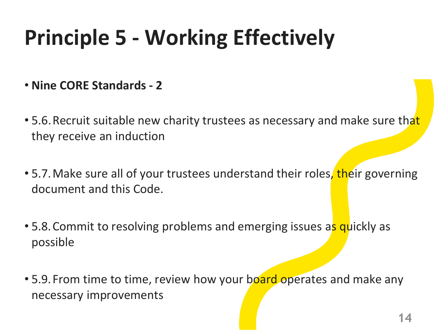- **Nine CORE Standards - 2**
- 5.6. Recruit suitable new charity trustees as necessary and make sure that they receive an induction
- 5.7. Make sure all of your trustees understand their roles, their governing document and this Code.
- 5.8. Commit to resolving problems and emerging issues as quickly as possible
- 5.9. From time to time, review how your board operates and make any necessary improvements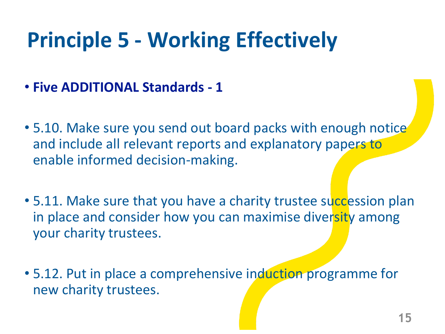- **Five ADDITIONAL Standards - 1**
- 5.10. Make sure you send out board packs with enough notice and include all relevant reports and explanatory papers to enable informed decision-making.
- 5.11. Make sure that you have a charity trustee succession plan in place and consider how you can maximise diversity among your charity trustees.
- 5.12. Put in place a comprehensive induction programme for new charity trustees.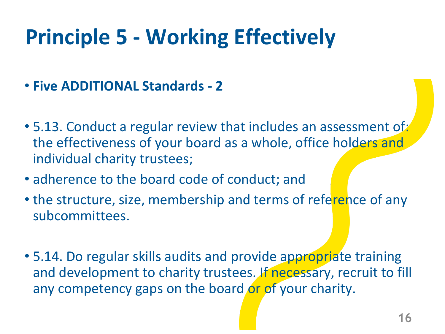- **Five ADDITIONAL Standards - 2**
- 5.13. Conduct a regular review that includes an assessment of: the effectiveness of your board as a whole, office holders and individual charity trustees;
- adherence to the board code of conduct; and
- the structure, size, membership and terms of reference of any subcommittees.
- 5.14. Do regular skills audits and provide appropriate training and development to charity trustees. If necessary, recruit to fill any competency gaps on the board or of your charity.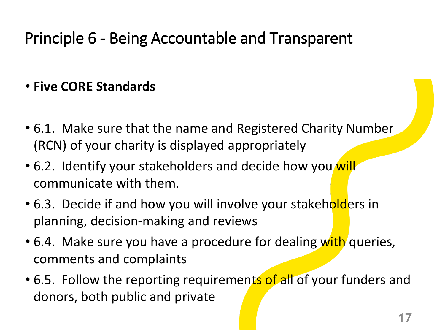#### Principle 6 - Being Accountable and Transparent

#### • **Five CORE Standards**

- 6.1. Make sure that the name and Registered Charity Number (RCN) of your charity is displayed appropriately
- 6.2. Identify your stakeholders and decide how you will communicate with them.
- 6.3. Decide if and how you will involve your stakeholders in planning, decision-making and reviews
- 6.4. Make sure you have a procedure for dealing with queries, comments and complaints
- 6.5. Follow the reporting requirements of all of your funders and donors, both public and private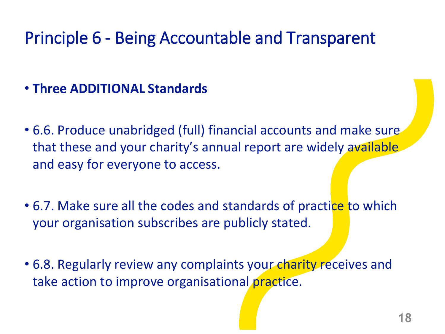#### Principle 6 - Being Accountable and Transparent

- **Three ADDITIONAL Standards**
- 6.6. Produce unabridged (full) financial accounts and make sure that these and your charity's annual report are widely available and easy for everyone to access.
- 6.7. Make sure all the codes and standards of practice to which your organisation subscribes are publicly stated.
- 6.8. Regularly review any complaints your charity receives and take action to improve organisational practice.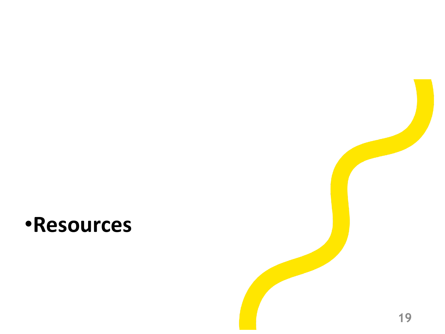#### •**Resources**

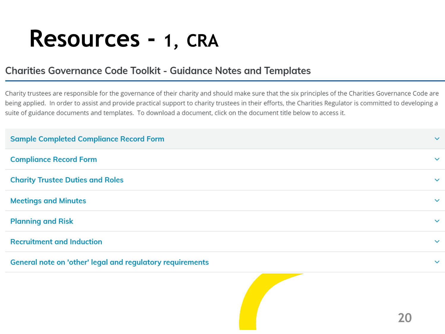### **Resources - 1, CRA**

#### **Charities Governance Code Toolkit - Guidance Notes and Templates**

Charity trustees are responsible for the governance of their charity and should make sure that the six principles of the Charities Governance Code are being applied. In order to assist and provide practical support to charity trustees in their efforts, the Charities Regulator is committed to developing a suite of guidance documents and templates. To download a document, click on the document title below to access it.

| <b>Sample Completed Compliance Record Form</b>            | $\checkmark$ |
|-----------------------------------------------------------|--------------|
| <b>Compliance Record Form</b>                             | $\checkmark$ |
| <b>Charity Trustee Duties and Roles</b>                   | $\checkmark$ |
| <b>Meetings and Minutes</b>                               | $\checkmark$ |
| <b>Planning and Risk</b>                                  | $\checkmark$ |
| <b>Recruitment and Induction</b>                          | $\checkmark$ |
| General note on 'other' legal and regulatory requirements | $\checkmark$ |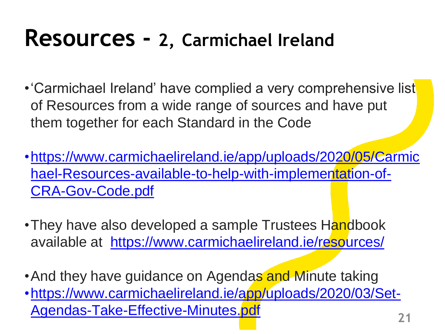### **Resources - 2, Carmichael Ireland**

- •'Carmichael Ireland' have complied a very comprehensive list of Resources from a wide range of sources and have put them together for each Standard in the Code
- [•https://www.carmichaelireland.ie/app/uploads/2020/05/Carmic](https://www.carmichaelireland.ie/app/uploads/2020/05/Carmichael-Resources-available-to-help-with-implementation-of-CRA-Gov-Code.pdf) hael-Resources-available-to-help-with-implementation-of-CRA-Gov-Code.pdf
- •They have also developed a sample Trustees Handbook available at <https://www.carmichaelireland.ie/resources/>
- And they have guidance on Agendas and Minute taking
- [•https://www.carmichaelireland.ie/app/uploads/2020/03/Set-](https://www.carmichaelireland.ie/app/uploads/2020/03/Set-Agendas-Take-Effective-Minutes.pdf)Agendas-Take-Effective-Minutes.pdf **<sup>21</sup>**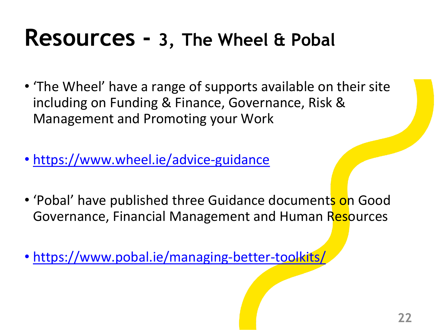### **Resources - 3, The Wheel & Pobal**

- 'The Wheel' have a range of supports available on their site including on Funding & Finance, Governance, Risk & Management and Promoting your Work
- <https://www.wheel.ie/advice-guidance>
- 'Pobal' have published three Guidance documents on Good Governance, Financial Management and Human Resources
- <https://www.pobal.ie/managing-better-toolkits/>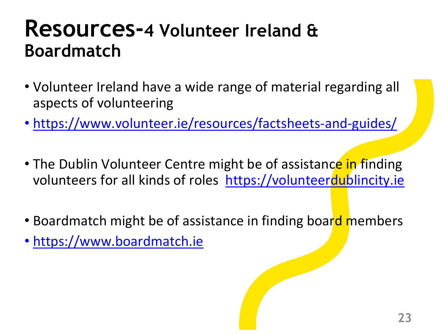#### **Resources-4 Volunteer Ireland & Boardmatch**

- Volunteer Ireland have a wide range of material regarding all aspects of volunteering
- <https://www.volunteer.ie/resources/factsheets-and-guides/>
- The Dublin Volunteer Centre might be of assistance in finding volunteers for all kinds of roles <https://volunteerdublincity.ie>
- Boardmatch might be of assistance in finding board members
- <https://www.boardmatch.ie>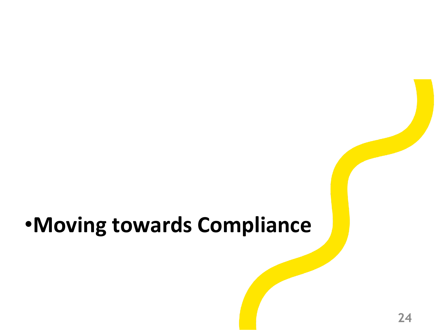### •**Moving towards Compliance**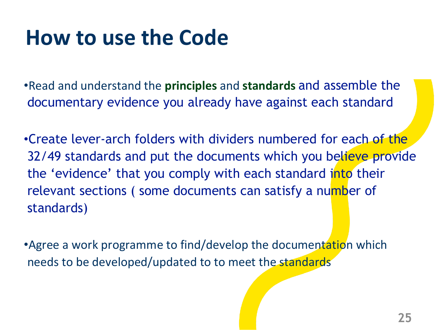### **How to use the Code**

•Read and understand the **principles** and **standards** and assemble the documentary evidence you already have against each standard

•Create lever-arch folders with dividers numbered for each of the 32/49 standards and put the documents which you believe provide the 'evidence' that you comply with each standard into their relevant sections (some documents can satisfy a number of standards)

• Agree a work programme to find/develop the documentation which needs to be developed/updated to to meet the standards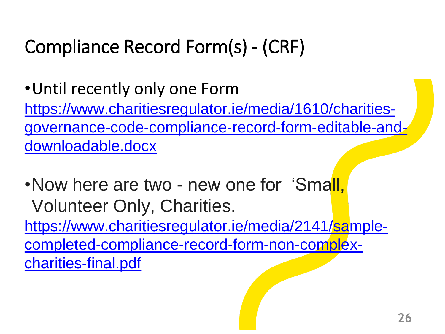### Compliance Record Form(s) - (CRF)

•Until recently only one Form https://www.charitiesregulator.ie/media/1610/charities[governance-code-compliance-record-form-editable-and](https://www.charitiesregulator.ie/media/1610/charities-governance-code-compliance-record-form-editable-and-downloadable.docx)downloadable.docx

•Now here are two - new one for 'Small, Volunteer Only, Charities. https://www.charitiesregulator.ie/media/2141/sample[completed-compliance-record-form-non-complex](https://www.charitiesregulator.ie/media/2141/sample-completed-compliance-record-form-non-complex-charities-final.pdf)charities-final.pdf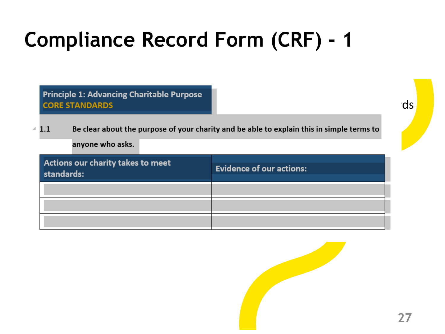### **Compliance Record Form (CRF) - 1**

Principle 1: Advancing Charitable Purpose  $\overline{a}$  and  $\overline{a}$  and  $\overline{a}$  and  $\overline{a}$  and  $\overline{a}$  standards for each of the  $\overline{a}$  standards  $\overline{a}$ 

as a summary for the Board to consider and sign-off consider and sign-off consider and sign-off consider and sign- $\triangleq 1.1$  Be clear about the purpose of your charity and be able to explain this in simple terms to anyone who asks.

| Actions our charity takes to meet<br>standards: | <b>Evidence of our actions:</b> |
|-------------------------------------------------|---------------------------------|
|                                                 |                                 |
|                                                 |                                 |
|                                                 |                                 |

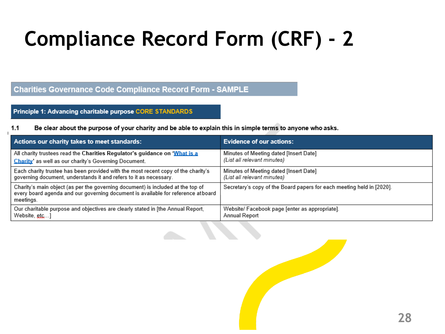### **Compliance Record Form (CRF) - 2**

#### **Charities Governance Code Compliance Record Form - SAMPLE**

#### Principle 1: Advancing charitable purpose CORE STANDARDS

#### $1.1$ Be clear about the purpose of your charity and be able to explain this in simple terms to anyone who asks.

| Actions our charity takes to meet standards:                                                                                                                                     | <b>Evidence of our actions:</b>                                       |
|----------------------------------------------------------------------------------------------------------------------------------------------------------------------------------|-----------------------------------------------------------------------|
| All charity trustees read the Charities Regulator's guidance on 'What is a                                                                                                       | Minutes of Meeting dated [Insert Date]                                |
| Charity' as well as our charity's Governing Document.                                                                                                                            | (List all relevant minutes)                                           |
| Each charity trustee has been provided with the most recent copy of the charity's                                                                                                | Minutes of Meeting dated [Insert Date]                                |
| governing document, understands it and refers to it as necessary.                                                                                                                | (List all relevant minutes)                                           |
| Charity's main object (as per the governing document) is included at the top of<br>every board agenda and our governing document is available for reference atboard<br>meetings. | Secretary's copy of the Board papers for each meeting held in [2020]. |
| Our charitable purpose and objectives are clearly stated in [the Annual Report,                                                                                                  | Website/ Facebook page [enter as appropriate].                        |
| Website, etc]                                                                                                                                                                    | Annual Report                                                         |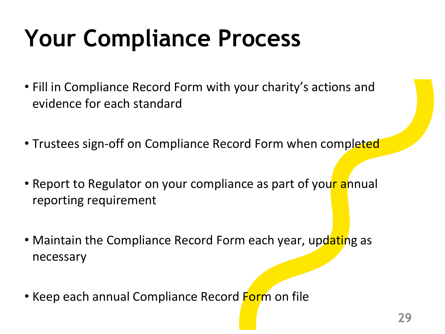# **Your Compliance Process**

- Fill in Compliance Record Form with your charity's actions and evidence for each standard
- Trustees sign-off on Compliance Record Form when completed
- Report to Regulator on your compliance as part of your annual reporting requirement
- Maintain the Compliance Record Form each year, updating as necessary
- Keep each annual Compliance Record Form on file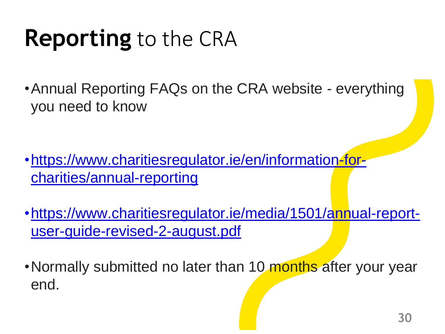### **Reporting** to the CRA

•Annual Reporting FAQs on the CRA website - everything you need to know

- [•https://www.charitiesregulator.ie/en/information-for](https://www.charitiesregulator.ie/en/information-for-charities/annual-reporting)charities/annual-reporting
- [•https://www.charitiesregulator.ie/media/1501/annual-report](https://www.charitiesregulator.ie/media/1501/annual-report-user-guide-revised-2-august.pdf)user-guide-revised-2-august.pdf
- •Normally submitted no later than 10 months after your year end.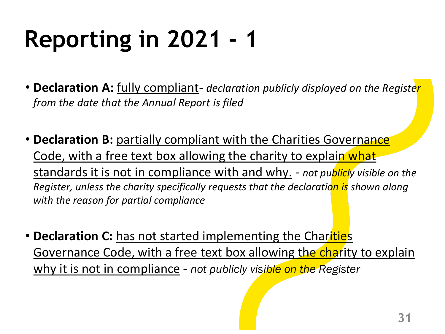# **Reporting in 2021 - 1**

- **Declaration A:** fully compliant- *declaration publicly displayed on the Register from the date that the Annual Report is filed*
- **Declaration B:** partially compliant with the Charities Governance Code, with a free text box allowing the charity to explain what standards it is not in compliance with and why. - *not publicly visible on the Register, unless the charity specifically requests that the declaration is shown along with the reason for partial compliance*
- **Declaration C:** has not started implementing the Charities Governance Code, with a free text box allowing the charity to explain why it is not in compliance - *not publicly visible on the Register*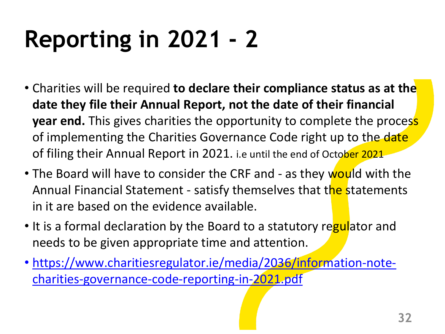# **Reporting in 2021 - 2**

- Charities will be required **to declare their compliance status as at the date they file their Annual Report, not the date of their financial year end.** This gives charities the opportunity to complete the process of implementing the Charities Governance Code right up to the date of filing their Annual Report in 2021. i.e until the end of October 2021
- The Board will have to consider the CRF and as they would with the Annual Financial Statement - satisfy themselves that the statements in it are based on the evidence available.
- It is a formal declaration by the Board to a statutory regulator and needs to be given appropriate time and attention.
- [https://www.charitiesregulator.ie/media/2036/information-note](https://www.charitiesregulator.ie/media/2036/information-note-charities-governance-code-reporting-in-2021.pdf)charities-governance-code-reporting-in-2021.pdf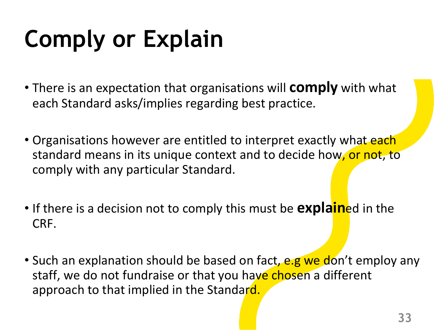# **Comply or Explain**

- There is an expectation that organisations will **comply** with what each Standard asks/implies regarding best practice.
- Organisations however are entitled to interpret exactly what each standard means in its unique context and to decide how, or not, to comply with any particular Standard.
- If there is a decision not to comply this must be **explain**ed in the CRF.
- Such an explanation should be based on fact, e.g we don't employ any staff, we do not fundraise or that you have chosen a different approach to that implied in the Standard.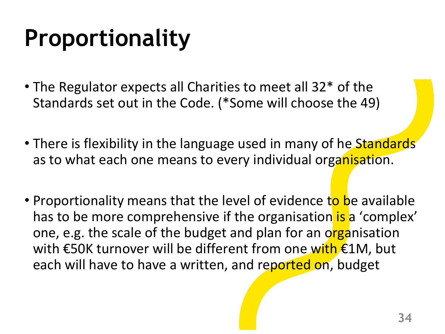# **Proportionality**

- The Regulator expects all Charities to meet all 32\* of the Standards set out in the Code. (\*Some will choose the 49)
- There is flexibility in the language used in many of he Standards as to what each one means to every individual organisation.
- Proportionality means that the level of evidence to be available has to be more comprehensive if the organisation is a 'complex' one, e.g. the scale of the budget and plan for an organisation with €50K turnover will be different from one with €1M, but each will have to have a written, and reported on, budget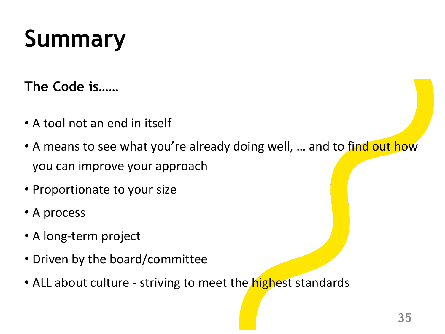# **Summary**

#### **The Code is……**

- A tool not an end in itself
- A means to see what you're already doing well, ... and to find out how you can improve your approach
- Proportionate to your size
- A process
- A long-term project
- Driven by the board/committee
- ALL about culture striving to meet the *highest* standards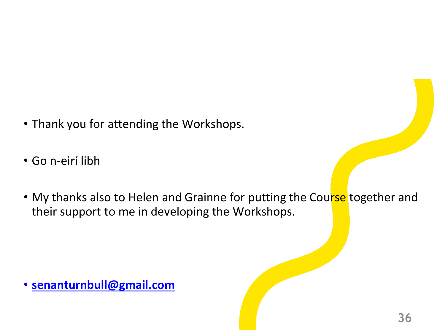- Thank you for attending the Workshops.
- Go n-eirí libh
- My thanks also to Helen and Grainne for putting the Course together and their support to me in developing the Workshops.

• **[senanturnbull@gmail.com](mailto:senanturnbull@gmail.com)**